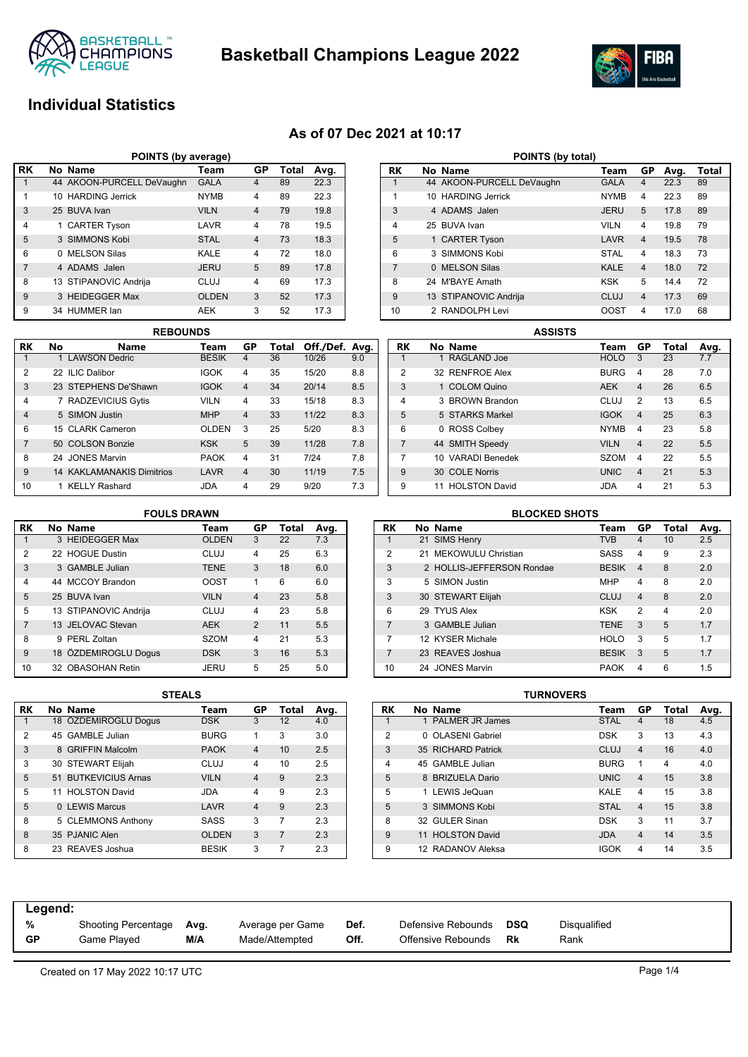

**Basketball Champions League 2022**



## **Individual Statistics**

## **As of 07 Dec 2021 at 10:17**

| POINTS (by average) |                                               |                           |              |                |    |      |  |  |  |  |  |  |  |
|---------------------|-----------------------------------------------|---------------------------|--------------|----------------|----|------|--|--|--|--|--|--|--|
| l RK                | No Name<br>GP<br><b>Total</b><br>Avg.<br>Team |                           |              |                |    |      |  |  |  |  |  |  |  |
|                     |                                               | 44 AKOON-PURCELL DeVaughn | <b>GALA</b>  | 4              | 89 | 22.3 |  |  |  |  |  |  |  |
| 1                   |                                               | 10 HARDING Jerrick        | <b>NYMB</b>  | 4              | 89 | 22.3 |  |  |  |  |  |  |  |
| 3                   |                                               | 25 BUVA Ivan              | <b>VILN</b>  | $\overline{4}$ | 79 | 19.8 |  |  |  |  |  |  |  |
| $\overline{4}$      |                                               | 1 CARTER Tyson            | LAVR         | 4              | 78 | 19.5 |  |  |  |  |  |  |  |
| 5                   |                                               | 3 SIMMONS Kobi            | <b>STAL</b>  | $\overline{4}$ | 73 | 18.3 |  |  |  |  |  |  |  |
| 6                   |                                               | 0 MELSON Silas            | KALE         | 4              | 72 | 18.0 |  |  |  |  |  |  |  |
| $\overline{7}$      |                                               | 4 ADAMS Jalen             | <b>JERU</b>  | 5              | 89 | 17.8 |  |  |  |  |  |  |  |
| 8                   |                                               | 13 STIPANOVIC Andrija     | CLUJ         | 4              | 69 | 17.3 |  |  |  |  |  |  |  |
| 9                   |                                               | 3 HEIDEGGER Max           | <b>OLDEN</b> | 3              | 52 | 17.3 |  |  |  |  |  |  |  |
| 9                   |                                               | 34 HUMMER lan             | <b>AEK</b>   | 3              | 52 | 17.3 |  |  |  |  |  |  |  |

|                | <b>REBOUNDS</b> |                                  |              |                |       |                |     |  |  |  |  |
|----------------|-----------------|----------------------------------|--------------|----------------|-------|----------------|-----|--|--|--|--|
| RK             | No              | Name                             | Team         | GP             | Total | Off./Def. Avg. |     |  |  |  |  |
|                |                 | 1 LAWSON Dedric                  | <b>BESIK</b> | 4              | 36    | 10/26          | 9.0 |  |  |  |  |
| $\overline{2}$ |                 | 22 ILIC Dalibor                  | <b>IGOK</b>  | 4              | 35    | 15/20          | 8.8 |  |  |  |  |
| 3              |                 | 23 STEPHENS De'Shawn             | <b>IGOK</b>  | $\overline{4}$ | 34    | 20/14          | 8.5 |  |  |  |  |
| 4              |                 | 7 RADZEVICIUS Gytis              | <b>VILN</b>  | 4              | 33    | 15/18          | 8.3 |  |  |  |  |
| $\overline{4}$ |                 | 5 SIMON Justin                   | <b>MHP</b>   | $\overline{4}$ | 33    | 11/22          | 8.3 |  |  |  |  |
| 6              |                 | 15 CLARK Cameron                 | <b>OLDEN</b> | 3              | 25    | 5/20           | 8.3 |  |  |  |  |
| $\overline{7}$ |                 | 50 COLSON Bonzie                 | <b>KSK</b>   | 5              | 39    | 11/28          | 7.8 |  |  |  |  |
| 8              |                 | 24 JONES Marvin                  | <b>PAOK</b>  | 4              | 31    | 7/24           | 7.8 |  |  |  |  |
| 9              |                 | <b>14 KAKLAMANAKIS Dimitrios</b> | LAVR         | $\overline{4}$ | 30    | 11/19          | 7.5 |  |  |  |  |
| 10             |                 | 1 KELLY Rashard                  | JDA          | 4              | 29    | 9/20           | 7.3 |  |  |  |  |

| POINTS (by total) |          |                           |             |                |      |       |  |  |  |  |
|-------------------|----------|---------------------------|-------------|----------------|------|-------|--|--|--|--|
| RK                |          | No Name                   | Team        | GP             | Avg. | Total |  |  |  |  |
| 1                 |          | 44 AKOON-PURCELL DeVaughn | <b>GALA</b> | 4              | 22.3 | 89    |  |  |  |  |
| 1                 |          | 10 HARDING Jerrick        | <b>NYMB</b> | 4              | 22.3 | 89    |  |  |  |  |
| 3                 |          | 4 ADAMS Jalen             | <b>JERU</b> | 5              | 17.8 | 89    |  |  |  |  |
| 4                 |          | 25 BUVA Ivan              | <b>VILN</b> | 4              | 19.8 | 79    |  |  |  |  |
| 5                 |          | 1 CARTER Tyson            | LAVR        | $\overline{4}$ | 19.5 | 78    |  |  |  |  |
| 6                 |          | 3 SIMMONS Kobi            | <b>STAL</b> | 4              | 18.3 | 73    |  |  |  |  |
| $\overline{7}$    | $\Omega$ | <b>MELSON Silas</b>       | <b>KALE</b> | $\overline{4}$ | 18.0 | 72    |  |  |  |  |
| 8                 |          | 24 M'BAYF Amath           | <b>KSK</b>  | 5              | 14.4 | 72    |  |  |  |  |
| 9                 |          | 13 STIPANOVIC Andrija     | CLUJ        | $\overline{4}$ | 17.3 | 69    |  |  |  |  |
| 10                | 2        | RANDOLPH Levi             | OOST        | 4              | 17.0 | 68    |  |  |  |  |

|                | <b>ASSISTS</b> |                   |  |             |                         |       |      |  |  |  |  |
|----------------|----------------|-------------------|--|-------------|-------------------------|-------|------|--|--|--|--|
| RK             |                | No Name           |  | Team        | GP                      | Total | Avg. |  |  |  |  |
|                |                | 1 RAGLAND Joe     |  | <b>HOLO</b> | 3                       | 23    | 7.7  |  |  |  |  |
| $\overline{2}$ |                | 32 RENFROE Alex   |  | <b>BURG</b> | 4                       | 28    | 7.0  |  |  |  |  |
| 3              |                | 1 COLOM Quino     |  | <b>AEK</b>  | 4                       | 26    | 6.5  |  |  |  |  |
| 4              |                | 3 BROWN Brandon   |  | CLUJ        | 2                       | 13    | 6.5  |  |  |  |  |
| 5              |                | 5 STARKS Markel   |  | <b>IGOK</b> | $\overline{\mathbf{A}}$ | 25    | 6.3  |  |  |  |  |
| 6              |                | 0 ROSS Colbey     |  | <b>NYMB</b> | 4                       | 23    | 5.8  |  |  |  |  |
| 7              |                | 44 SMITH Speedy   |  | <b>VILN</b> | $\overline{4}$          | 22    | 5.5  |  |  |  |  |
| 7              |                | 10 VARADI Benedek |  | <b>SZOM</b> | 4                       | 22    | 5.5  |  |  |  |  |
| 9              |                | 30 COLE Norris    |  | <b>UNIC</b> | $\overline{4}$          | 21    | 5.3  |  |  |  |  |
| 9              |                | 11 HOLSTON David  |  | <b>JDA</b>  | 4                       | 21    | 5.3  |  |  |  |  |

### **FOULS DRAWN**

| RK             |   | No Name               | Team         | GP             | Total | Avg. |
|----------------|---|-----------------------|--------------|----------------|-------|------|
| 1              |   | 3 HEIDEGGER Max       | <b>OLDEN</b> | 3              | 22    | 7.3  |
| $\overline{2}$ |   | 22 HOGUE Dustin       | CLUJ         | 4              | 25    | 6.3  |
| 3              |   | 3 GAMBLE Julian       | <b>TENE</b>  | 3              | 18    | 6.0  |
| 4              |   | 44 MCCOY Brandon      | <b>OOST</b>  | 1              | 6     | 6.0  |
| 5              |   | 25 BUVA Ivan          | <b>VILN</b>  | $\overline{4}$ | 23    | 5.8  |
| 5              |   | 13 STIPANOVIC Andrija | CLUJ         | 4              | 23    | 5.8  |
| $\overline{7}$ |   | 13 JELOVAC Stevan     | <b>AEK</b>   | $\overline{2}$ | 11    | 5.5  |
| 8              | Q | PERL Zoltan           | <b>SZOM</b>  | 4              | 21    | 5.3  |
| 9              |   | 18 ÖZDEMIROGLU Dogus  | <b>DSK</b>   | 3              | 16    | 5.3  |
| 10             |   | 32 OBASOHAN Retin     | JERU         | 5              | 25    | 5.0  |

## **RK No Name Team GP Total Avg.** 1 21 SIMS Henry 2 21 MEKOWULU Christian CASS 4 9 2.3 3 2 HOLLIS-JEFFERSON Rondae BESIK 4 8 2.0 3 5 SIMON Justin MHP 4 8 2.0 3 30 STEWART Elijah CLUJ 4 8 2.0 6 29 TYUS Alex KSK 2 4 2.0 7 3 GAMBLE Julian **TENE 3 5 1.7** 7 12 KYSER Michale HOLO 3 5 1.7 7 23 REAVES Joshua BESIK 3 5 1.7 10 24 JONES Marvin PAOK 4 6 1.5 **BLOCKED SHOTS**

|    | SIEALS |                          |              |                |       |      |  |  |  |  |  |  |
|----|--------|--------------------------|--------------|----------------|-------|------|--|--|--|--|--|--|
| RK |        | No Name                  | Team         | GP             | Total | Avg. |  |  |  |  |  |  |
| 1  |        | 18 ÖZDEMIROGLU Dogus     | <b>DSK</b>   | 3              | 12    | 4.0  |  |  |  |  |  |  |
| 2  |        | 45 GAMBLE Julian         | <b>BURG</b>  | 1              | 3     | 3.0  |  |  |  |  |  |  |
| 3  |        | 8 GRIFFIN Malcolm        | <b>PAOK</b>  | $\overline{4}$ | 10    | 2.5  |  |  |  |  |  |  |
| 3  |        | 30 STEWART Elijah        | CLUJ         | 4              | 10    | 2.5  |  |  |  |  |  |  |
| 5  | 51     | <b>BUTKEVICIUS Arnas</b> | <b>VILN</b>  | $\overline{4}$ | 9     | 2.3  |  |  |  |  |  |  |
| 5  |        | 11 HOLSTON David         | <b>JDA</b>   | 4              | 9     | 2.3  |  |  |  |  |  |  |
| 5  |        | 0 LEWIS Marcus           | LAVR         | $\overline{4}$ | 9     | 2.3  |  |  |  |  |  |  |
| 8  |        | 5 CLEMMONS Anthony       | SASS         | 3              | 7     | 2.3  |  |  |  |  |  |  |
| 8  |        | 35 PJANIC Alen           | <b>OLDEN</b> | 3              | 7     | 2.3  |  |  |  |  |  |  |
| 8  |        | 23 REAVES Joshua         | <b>BESIK</b> | 3              |       | 2.3  |  |  |  |  |  |  |

| STEALS |              |                |                |      |           |    |                        | TURNOVERS |             |                         |       |      |
|--------|--------------|----------------|----------------|------|-----------|----|------------------------|-----------|-------------|-------------------------|-------|------|
|        | Team         | GP             | Total          | Avg. | <b>RK</b> |    | No Name                |           | Team        | GP                      | Total | Avg. |
|        | <b>DSK</b>   | 3              | 12             | 4.0  |           |    | <b>PALMER JR James</b> |           | <b>STAL</b> | 4                       | 18    | 4.5  |
|        | <b>BURG</b>  | 1              | 3              | 3.0  | 2         |    | 0 OLASENI Gabriel      |           | <b>DSK</b>  | 3                       | 13    | 4.3  |
|        | <b>PAOK</b>  | $\overline{4}$ | 10             | 2.5  | 3         |    | 35 RICHARD Patrick     |           | <b>CLUJ</b> | 4                       | 16    | 4.0  |
|        | <b>CLUJ</b>  | 4              | 10             | 2.5  | 4         |    | 45 GAMBLE Julian       |           | <b>BURG</b> |                         | 4     | 4.0  |
|        | <b>VILN</b>  | $\overline{4}$ | 9              | 2.3  | 5         |    | 8 BRIZUELA Dario       |           | <b>UNIC</b> | 4                       | 15    | 3.8  |
|        | <b>JDA</b>   | 4              | 9              | 2.3  | 5         |    | 1 LEWIS JeQuan         |           | <b>KALE</b> | 4                       | 15    | 3.8  |
|        | LAVR         | $\overline{4}$ | 9              | 2.3  | 5         |    | 3 SIMMONS Kobi         |           | <b>STAL</b> | 4                       | 15    | 3.8  |
|        | <b>SASS</b>  | 3              | 7              | 2.3  | 8         |    | 32 GULER Sinan         |           | <b>DSK</b>  | 3                       | 11    | 3.7  |
|        | <b>OLDEN</b> | 3              | $\overline{7}$ | 2.3  | 9         | 11 | <b>HOLSTON David</b>   |           | <b>JDA</b>  | $\overline{\mathbf{4}}$ | 14    | 3.5  |
|        | <b>BESIK</b> | 3              |                | 2.3  | 9         |    | 12 RADANOV Aleksa      |           | <b>IGOK</b> | 4                       | 14    | 3.5  |
|        |              |                |                |      |           |    |                        |           |             |                         |       |      |

| Legend: |                     |      |                  |      |                    |     |              |
|---------|---------------------|------|------------------|------|--------------------|-----|--------------|
| %       | Shooting Percentage | Avg. | Average per Game | Def. | Defensive Rebounds | DSQ | Disgualified |
| GP      | Game Plaved         | M/A  | Made/Attempted   | Off. | Offensive Rebounds | Rk  | Rank         |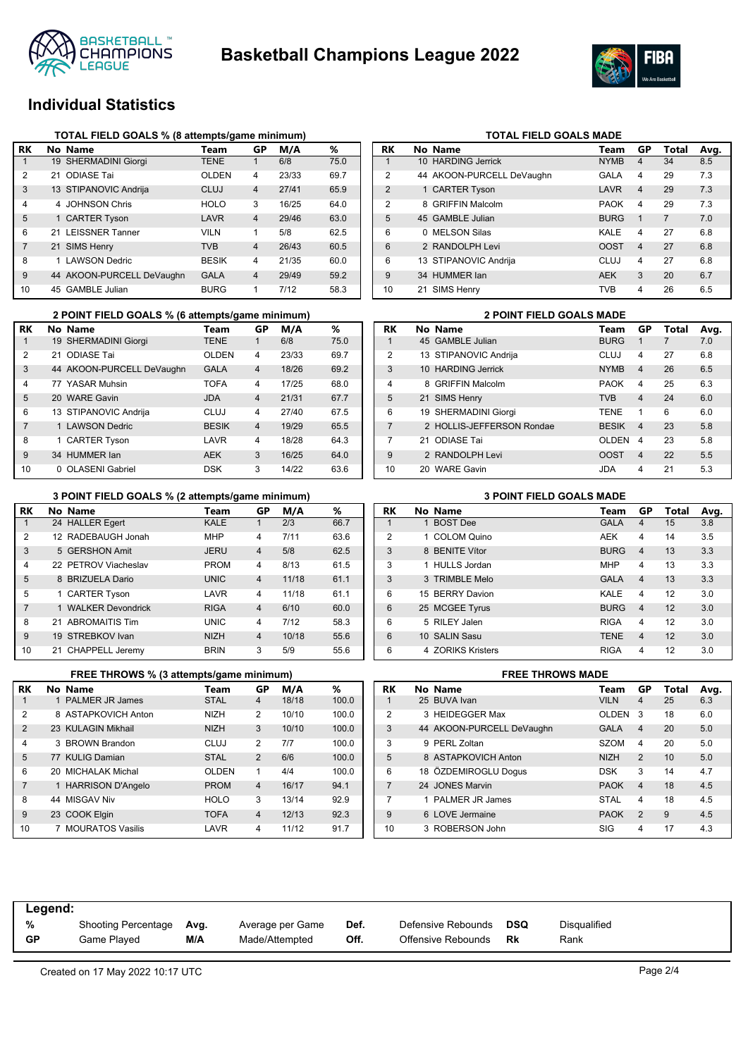



## **Individual Statistics**

|                | TOTAL FIELD GOALS % (8 attempts/game minimum) |                           |              |                |       |      |  |  |  |  |  |
|----------------|-----------------------------------------------|---------------------------|--------------|----------------|-------|------|--|--|--|--|--|
| RK             |                                               | No Name                   | Team         | GP             | M/A   | ℅    |  |  |  |  |  |
| 1              |                                               | 19 SHERMADINI Giorgi      | <b>TENE</b>  | 1              | 6/8   | 75.0 |  |  |  |  |  |
| $\overline{2}$ |                                               | 21 ODIASE Tai             | <b>OLDEN</b> | $\overline{4}$ | 23/33 | 69.7 |  |  |  |  |  |
| 3              |                                               | 13 STIPANOVIC Andrija     | CLUJ         | $\overline{4}$ | 27/41 | 65.9 |  |  |  |  |  |
| 4              |                                               | 4 JOHNSON Chris           | <b>HOLO</b>  | 3              | 16/25 | 64.0 |  |  |  |  |  |
| 5              |                                               | 1 CARTER Tyson            | LAVR         | $\overline{4}$ | 29/46 | 63.0 |  |  |  |  |  |
| 6              | 21                                            | <b>LEISSNER Tanner</b>    | <b>VILN</b>  | 1              | 5/8   | 62.5 |  |  |  |  |  |
| 7              |                                               | 21 SIMS Henry             | <b>TVB</b>   | $\overline{4}$ | 26/43 | 60.5 |  |  |  |  |  |
| 8              | 1                                             | <b>LAWSON Dedric</b>      | <b>BESIK</b> | $\overline{4}$ | 21/35 | 60.0 |  |  |  |  |  |
| 9              |                                               | 44 AKOON-PURCELL DeVaughn | <b>GALA</b>  | $\overline{4}$ | 29/49 | 59.2 |  |  |  |  |  |
| 10             |                                               | 45 GAMBLE Julian          | <b>BURG</b>  | 1              | 7/12  | 58.3 |  |  |  |  |  |

|                | 2 POINT FIELD GOALS % (6 attempts/game minimum) |              |                | <b>2 POINT FIELD GOALS MADE</b> |      |    |  |                           |              |
|----------------|-------------------------------------------------|--------------|----------------|---------------------------------|------|----|--|---------------------------|--------------|
| RK             | No Name                                         | Team         | GP             | M/A                             | %    | RK |  | No Name                   | Team         |
|                | 19 SHERMADINI Giorgi                            | <b>TENE</b>  |                | 6/8                             | 75.0 |    |  | 45 GAMBLE Julian          | <b>BURG</b>  |
| 2              | 21 ODIASE Tai                                   | <b>OLDEN</b> | 4              | 23/33                           | 69.7 | 2  |  | 13 STIPANOVIC Andrija     | <b>CLUJ</b>  |
| 3              | 44 AKOON-PURCELL DeVaughn                       | <b>GALA</b>  | $\overline{4}$ | 18/26                           | 69.2 | 3  |  | 10 HARDING Jerrick        | <b>NYMB</b>  |
| 4              | 77 YASAR Muhsin                                 | <b>TOFA</b>  | 4              | 17/25                           | 68.0 | 4  |  | 8 GRIFFIN Malcolm         | <b>PAOK</b>  |
| 5              | 20 WARE Gavin                                   | <b>JDA</b>   | $\overline{4}$ | 21/31                           | 67.7 | 5  |  | 21 SIMS Henry             | <b>TVB</b>   |
| 6              | 13 STIPANOVIC Andrija                           | <b>CLUJ</b>  | 4              | 27/40                           | 67.5 | 6  |  | 19 SHERMADINI Giorgi      | <b>TENE</b>  |
| $\overline{7}$ | 1 LAWSON Dedric                                 | <b>BESIK</b> | $\overline{4}$ | 19/29                           | 65.5 |    |  | 2 HOLLIS-JEFFERSON Rondae | <b>BESIK</b> |
| 8              | 1 CARTER Tyson                                  | LAVR         | 4              | 18/28                           | 64.3 |    |  | 21 ODIASE Tai             | <b>OLDE</b>  |
| 9              | 34 HUMMER Jan                                   | <b>AEK</b>   | 3              | 16/25                           | 64.0 | 9  |  | 2 RANDOLPH Levi           | <b>OOST</b>  |
| 10             | 0 OLASENI Gabriel                               | <b>DSK</b>   | 3              | 14/22                           | 63.6 | 10 |  | 20 WARE Gavin             | <b>JDA</b>   |

## **TOTAL FIELD GOALS MADE**

| RK            | No Name                   | Team        | GP             | Total          | Avg. |
|---------------|---------------------------|-------------|----------------|----------------|------|
| 1             | 10 HARDING Jerrick        | <b>NYMB</b> | $\overline{4}$ | 34             | 8.5  |
| $\mathcal{P}$ | 44 AKOON-PURCELL DeVaughn | <b>GALA</b> | 4              | 29             | 7.3  |
| 2             | 1 CARTER Tyson            | LAVR        | $\overline{4}$ | 29             | 7.3  |
| 2             | 8 GRIFFIN Malcolm         | <b>PAOK</b> | 4              | 29             | 7.3  |
| 5             | 45 GAMBLE Julian          | <b>BURG</b> | 1              | $\overline{7}$ | 7.0  |
| 6             | 0 MELSON Silas            | KALE        | 4              | 27             | 6.8  |
| 6             | 2 RANDOLPH Levi           | <b>OOST</b> | $\overline{4}$ | 27             | 6.8  |
| 6             | 13 STIPANOVIC Andrija     | CLUJ        | $\overline{4}$ | 27             | 6.8  |
| $\mathbf{Q}$  | 34 HUMMER lan             | <b>AEK</b>  | 3              | 20             | 6.7  |
| 10            | 21 SIMS Henry             | <b>TVB</b>  | 4              | 26             | 6.5  |

|                | <b>2 POINT FIELD GOALS MADE</b> |              |                  |       |      |
|----------------|---------------------------------|--------------|------------------|-------|------|
| <b>RK</b>      | No Name                         | Team         | GP               | Total | Avg. |
| 1              | 45 GAMBLE Julian                | <b>BURG</b>  | 1                |       | 7.0  |
| $\mathcal{P}$  | 13 STIPANOVIC Andrija           | CLUJ         | 4                | 27    | 6.8  |
| 3              | 10 HARDING Jerrick              | <b>NYMB</b>  | $\overline{4}$   | 26    | 6.5  |
| $\overline{4}$ | 8 GRIFFIN Malcolm               | <b>PAOK</b>  | 4                | 25    | 6.3  |
| 5              | 21 SIMS Henry                   | <b>TVB</b>   | $\boldsymbol{4}$ | 24    | 6.0  |
| 6              | 19 SHERMADINI Giorgi            | <b>TENE</b>  | 1                | 6     | 6.0  |
| $\overline{7}$ | 2 HOLLIS-JEFFERSON Rondae       | <b>BESIK</b> | $\boldsymbol{4}$ | 23    | 5.8  |
| 7              | 21 ODIASE Tai                   | <b>OLDEN</b> | 4                | 23    | 5.8  |
| 9              | 2 RANDOLPH Levi                 | <b>OOST</b>  | $\overline{4}$   | 22    | 5.5  |
| 10             | 20 WARE Gavin                   | <b>JDA</b>   | 4                | 21    | 5.3  |

### **3 POINT FIELD GOALS % (2 attempts/game minimum)**

|                |                      | .           |                |       |      |
|----------------|----------------------|-------------|----------------|-------|------|
| RK             | No Name              | Team        | GP             | M/A   | %    |
| 1              | 24 HALLER Egert      | <b>KALE</b> | 1              | 2/3   | 66.7 |
| 2              | 12 RADEBAUGH Jonah   | <b>MHP</b>  | $\overline{4}$ | 7/11  | 63.6 |
| 3              | 5 GERSHON Amit       | <b>JERU</b> | $\overline{4}$ | 5/8   | 62.5 |
| 4              | 22 PETROV Viacheslav | <b>PROM</b> | $\overline{4}$ | 8/13  | 61.5 |
| 5              | 8 BRIZUELA Dario     | <b>UNIC</b> | $\overline{4}$ | 11/18 | 61.1 |
| 5              | 1 CARTER Tyson       | LAVR        | $\overline{4}$ | 11/18 | 61.1 |
| $\overline{7}$ | 1 WALKER Devondrick  | <b>RIGA</b> | $\overline{4}$ | 6/10  | 60.0 |
| 8              | 21 ABROMAITIS Tim    | <b>UNIC</b> | $\overline{4}$ | 7/12  | 58.3 |
| 9              | 19 STREBKOV Ivan     | <b>NIZH</b> | $\overline{4}$ | 10/18 | 55.6 |
| 10             | 21 CHAPPELL Jeremy   | <b>BRIN</b> | 3              | 5/9   | 55.6 |

| 5              | 1 CARTER Tyson                          | LAVR        | 4              | 11/18 | 61.1  | 6         | 15 BERRY Davion         | Κ  |
|----------------|-----------------------------------------|-------------|----------------|-------|-------|-----------|-------------------------|----|
| $\overline{7}$ | 1 WALKER Devondrick                     | <b>RIGA</b> | 4              | 6/10  | 60.0  | 6         | 25 MCGEE Tyrus          | B  |
| 8              | 21 ABROMAITIS Tim                       | <b>UNIC</b> | 4              | 7/12  | 58.3  | 6         | 5 RILEY Jalen           | R  |
| 9              | 19 STREBKOV Ivan                        | <b>NIZH</b> | $\overline{4}$ | 10/18 | 55.6  | 6         | 10 SALIN Sasu           | TI |
| 10             | 21 CHAPPELL Jeremy                      | <b>BRIN</b> | 3              | 5/9   | 55.6  | 6         | 4 ZORIKS Kristers       | R  |
|                |                                         |             |                |       |       |           |                         |    |
|                | FREE THROWS % (3 attempts/game minimum) |             |                |       |       |           | <b>FREE THROWS MADE</b> |    |
| RK             | No Name                                 | Team        | GP             | M/A   | %     | <b>RK</b> | No Name                 | Τо |
|                | 1 PALMER JR James                       | <b>STAL</b> | 4              | 18/18 | 100.0 |           | 25 BUVA Ivan            | VI |
| 2              | 8 ASTAPKOVICH Anton                     | <b>NIZH</b> | $\overline{2}$ | 10/10 | 100.0 | 2         | 3 HEIDEGGER Max         | O  |

4 3 BROWN Brandon CLUJ 2 7/7 100.0 77 KULIG Damian STAL 2 6/6 100.0 20 MICHALAK Michal OLDEN 1 4/4 100.0 1 HARRISON D'Angelo PROM 4 16/17 94.1 44 MISGAV Niv HOLO 3 13/14 92.9 23 COOK Elgin TOFA 4 12/13 92.3 7 MOURATOS Vasilis LAVR 4 11/12 91.7

| <b>3 POINT FIELD GOALS MADE</b> |  |
|---------------------------------|--|
|---------------------------------|--|

| RK             | No Name           | Team        | GP                      | Total | Avg. |
|----------------|-------------------|-------------|-------------------------|-------|------|
| 1              | 1 BOST Dee        | <b>GALA</b> | 4                       | 15    | 3.8  |
| $\mathfrak{p}$ | 1 COLOM Quino     | <b>AEK</b>  | 4                       | 14    | 3.5  |
| 3              | 8 BENITE Vítor    | <b>BURG</b> | $\overline{4}$          | 13    | 3.3  |
| 3              | 1 HULLS Jordan    | <b>MHP</b>  | 4                       | 13    | 3.3  |
| 3              | 3 TRIMBLE Melo    | <b>GALA</b> | $\overline{\mathbf{4}}$ | 13    | 3.3  |
| 6              | 15 BERRY Davion   | KALE        | 4                       | 12    | 3.0  |
| 6              | 25 MCGEE Tyrus    | <b>BURG</b> | $\overline{4}$          | 12    | 3.0  |
| 6              | 5 RILEY Jalen     | <b>RIGA</b> | 4                       | 12    | 3.0  |
| 6              | 10 SALIN Sasu     | <b>TENE</b> | $\overline{4}$          | 12    | 3.0  |
| 6              | 4 ZORIKS Kristers | <b>RIGA</b> | 4                       | 12    | 3.0  |

|                | <b>FREE THROWS MADE</b> |                           |              |                         |       |      |  |  |  |
|----------------|-------------------------|---------------------------|--------------|-------------------------|-------|------|--|--|--|
| RK             |                         | No Name                   | Team         | GP                      | Total | Avg. |  |  |  |
| 1              |                         | 25 BUVA Ivan              | <b>VILN</b>  | 4                       | 25    | 6.3  |  |  |  |
| $\overline{2}$ |                         | 3 HEIDEGGER Max           | <b>OLDEN</b> | 3                       | 18    | 6.0  |  |  |  |
| 3              |                         | 44 AKOON-PURCELL DeVaughn | <b>GALA</b>  | $\overline{\mathbf{4}}$ | 20    | 5.0  |  |  |  |
| 3              |                         | 9 PERL Zoltan             | <b>SZOM</b>  | 4                       | 20    | 5.0  |  |  |  |
| 5              |                         | 8 ASTAPKOVICH Anton       | <b>NIZH</b>  | $\overline{2}$          | 10    | 5.0  |  |  |  |
| 6              |                         | 18 ÖZDEMIROGLU Dogus      | <b>DSK</b>   | 3                       | 14    | 4.7  |  |  |  |
| $\overline{7}$ |                         | 24 JONES Marvin           | <b>PAOK</b>  | $\overline{\mathbf{4}}$ | 18    | 4.5  |  |  |  |
| 7              |                         | 1 PALMER JR James         | STAL         | 4                       | 18    | 4.5  |  |  |  |
| 9              |                         | 6 LOVE Jermaine           | <b>PAOK</b>  | $\overline{2}$          | 9     | 4.5  |  |  |  |
| 10             |                         | 3 ROBERSON John           | SIG          | 4                       | 17    | 4.3  |  |  |  |

| Legend: |                            |      |                  |      |                    |     |              |
|---------|----------------------------|------|------------------|------|--------------------|-----|--------------|
| %       | <b>Shooting Percentage</b> | Avg. | Average per Game | Def. | Defensive Rebounds | DSQ | Disqualified |
| GP      | Game Plaved                | M/A  | Made/Attempted   | Off. | Offensive Rebounds | Rk  | Rank         |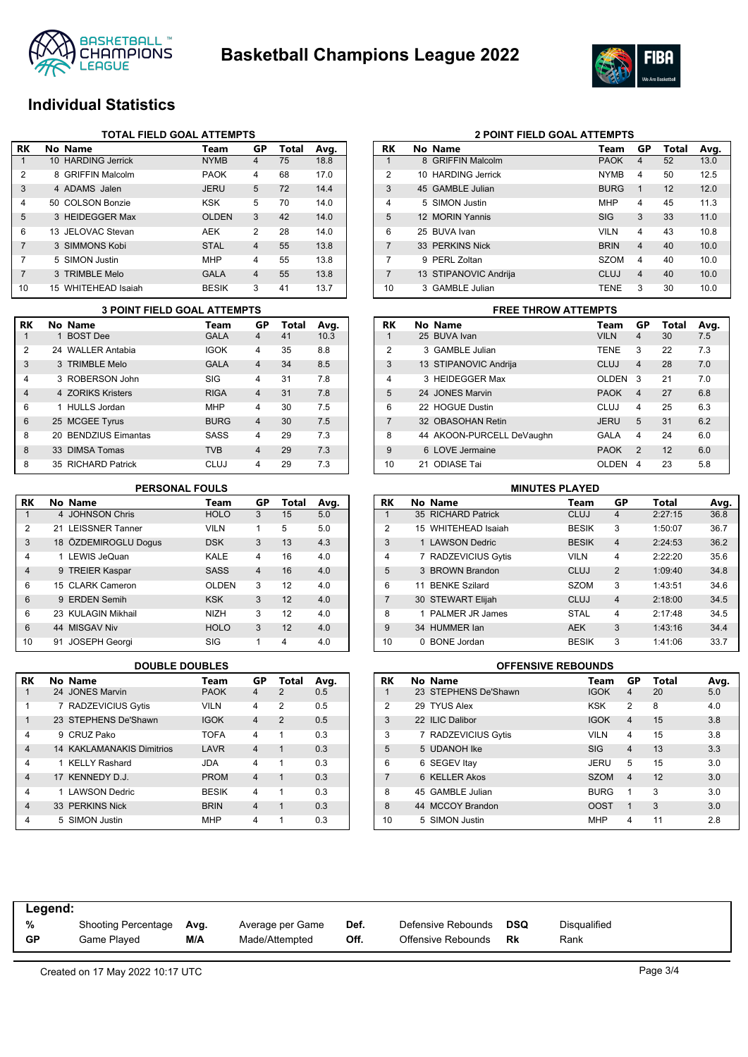



## **Individual Statistics**

|                | <b>TOTAL FIELD GOAL ATTEMPTS</b> |                     |              |                |       |      |  |  |  |
|----------------|----------------------------------|---------------------|--------------|----------------|-------|------|--|--|--|
| RK             |                                  | No Name             | Team         | GP             | Total | Avg. |  |  |  |
|                |                                  | 10 HARDING Jerrick  | <b>NYMB</b>  | $\overline{4}$ | 75    | 18.8 |  |  |  |
| $\overline{2}$ |                                  | 8 GRIFFIN Malcolm   | <b>PAOK</b>  | $\overline{4}$ | 68    | 17.0 |  |  |  |
| 3              |                                  | 4 ADAMS Jalen       | <b>JERU</b>  | 5              | 72    | 14.4 |  |  |  |
| 4              |                                  | 50 COLSON Bonzie    | <b>KSK</b>   | 5              | 70    | 14.0 |  |  |  |
| 5              |                                  | 3 HEIDEGGER Max     | <b>OLDEN</b> | 3              | 42    | 14.0 |  |  |  |
| 6              |                                  | 13 JELOVAC Stevan   | AEK          | 2              | 28    | 14.0 |  |  |  |
| 7              |                                  | 3 SIMMONS Kobi      | <b>STAL</b>  | $\overline{4}$ | 55    | 13.8 |  |  |  |
| 7              |                                  | 5 SIMON Justin      | <b>MHP</b>   | 4              | 55    | 13.8 |  |  |  |
| $\overline{7}$ |                                  | 3 TRIMBLE Melo      | <b>GALA</b>  | $\overline{4}$ | 55    | 13.8 |  |  |  |
| 10             |                                  | 15 WHITEHEAD Isaiah | <b>BESIK</b> | 3              | 41    | 13.7 |  |  |  |

|           | <b>3 POINT FIELD GOAL ATTEMPTS</b> |                      |             |                         |       |      |  |  |
|-----------|------------------------------------|----------------------|-------------|-------------------------|-------|------|--|--|
| <b>RK</b> |                                    | No Name              | Team        | <b>GP</b>               | Total | Avg. |  |  |
|           |                                    | 1 BOST Dee           | <b>GALA</b> | 4                       | 41    | 10.3 |  |  |
| 2         |                                    | 24 WALLER Antabia    | <b>IGOK</b> | 4                       | 35    | 8.8  |  |  |
| 3         |                                    | 3 TRIMBLE Melo       | <b>GALA</b> | $\overline{4}$          | 34    | 8.5  |  |  |
| 4         |                                    | 3 ROBERSON John      | SIG         | 4                       | 31    | 7.8  |  |  |
| 4         |                                    | 4 ZORIKS Kristers    | <b>RIGA</b> | $\overline{\mathbf{A}}$ | 31    | 7.8  |  |  |
| 6         |                                    | 1 HULLS Jordan       | <b>MHP</b>  | 4                       | 30    | 7.5  |  |  |
| 6         |                                    | 25 MCGEE Tyrus       | <b>BURG</b> | $\overline{4}$          | 30    | 7.5  |  |  |
| 8         |                                    | 20 BENDZIUS Eimantas | SASS        | 4                       | 29    | 7.3  |  |  |
| 8         |                                    | 33 DIMSA Tomas       | <b>TVB</b>  | 4                       | 29    | 7.3  |  |  |
| 8         |                                    | 35 RICHARD Patrick   | CLUJ        | 4                       | 29    | 7.3  |  |  |

| RK             | No Name              | Team         | GP             | <b>Total</b> | Avg. |
|----------------|----------------------|--------------|----------------|--------------|------|
| 1              | 4 JOHNSON Chris      | <b>HOLO</b>  | 3              | 15           | 5.0  |
| 2              | 21 LEISSNER Tanner   | <b>VILN</b>  | 1              | 5            | 5.0  |
| 3              | 18 ÖZDEMIROGLU Dogus | <b>DSK</b>   | 3              | 13           | 4.3  |
| 4              | 1 LEWIS JeQuan       | KALE         | 4              | 16           | 4.0  |
| $\overline{4}$ | 9 TREIER Kaspar      | <b>SASS</b>  | $\overline{4}$ | 16           | 4.0  |
| 6              | 15 CLARK Cameron     | <b>OLDEN</b> | 3              | 12           | 4.0  |
| 6              | 9 ERDEN Semih        | <b>KSK</b>   | 3              | 12           | 4.0  |
| 6              | 23 KULAGIN Mikhail   | <b>NIZH</b>  | 3              | 12           | 4.0  |
| 6              | 44 MISGAV Niv        | <b>HOLO</b>  | 3              | 12           | 4.0  |
| 10             | 91 JOSEPH Georgi     | SIG          | 1              | 4            | 4.0  |

| RK             |   | No Name                          | Team         | GP             | Total          | Avg. |
|----------------|---|----------------------------------|--------------|----------------|----------------|------|
| 1              |   | 24 JONES Marvin                  | <b>PAOK</b>  | 4              | $\mathcal{P}$  | 0.5  |
| 1              |   | 7 RADZEVICIUS Gytis              | <b>VILN</b>  | 4              | $\mathfrak{p}$ | 0.5  |
| 1              |   | 23 STEPHENS De'Shawn             | <b>IGOK</b>  | 4              | $\mathcal{P}$  | 0.5  |
| 4              | 9 | CRUZ Pako                        | <b>TOFA</b>  | 4              | 1              | 0.3  |
| $\overline{4}$ |   | <b>14 KAKLAMANAKIS Dimitrios</b> | LAVR         | 4              | 1              | 0.3  |
| 4              |   | 1 KELLY Rashard                  | <b>JDA</b>   | 4              | 1              | 0.3  |
| $\overline{4}$ |   | 17 KENNEDY D.J.                  | <b>PROM</b>  | $\overline{4}$ | 1              | 0.3  |
| 4              |   | 1 LAWSON Dedric                  | <b>BESIK</b> | 4              | 1              | 0.3  |
| $\overline{4}$ |   | 33 PERKINS Nick                  | <b>BRIN</b>  | 4              | 1              | 0.3  |
| 4              |   | 5 SIMON Justin                   | <b>MHP</b>   | 4              |                | 0.3  |

| RK             | No Name               | Team        | GP             | Total | Avg. |
|----------------|-----------------------|-------------|----------------|-------|------|
| 1              | 8 GRIFFIN Malcolm     | <b>PAOK</b> | 4              | 52    | 13.0 |
| $\overline{2}$ | 10 HARDING Jerrick    | <b>NYMB</b> | 4              | 50    | 12.5 |
| 3              | 45 GAMBLE Julian      | <b>BURG</b> | 1              | 12    | 12.0 |
| 4              | 5 SIMON Justin        | <b>MHP</b>  | $\overline{4}$ | 45    | 11.3 |
| 5              | 12 MORIN Yannis       | <b>SIG</b>  | 3              | 33    | 11.0 |
| 6              | 25 BUVA Ivan          | <b>VILN</b> | 4              | 43    | 10.8 |
| $\overline{7}$ | 33 PERKINS Nick       | <b>BRIN</b> | $\overline{4}$ | 40    | 10.0 |
| 7              | PERL Zoltan<br>9      | <b>SZOM</b> | 4              | 40    | 10.0 |
| $\overline{7}$ | 13 STIPANOVIC Andrija | CLUJ        | $\overline{4}$ | 40    | 10.0 |
| 10             | 3 GAMBLE Julian       | <b>TENE</b> | 3              | 30    | 10.0 |

**2 POINT FIELD GOAL ATTEMPTS**

### **RK No Name Team GP Total Avg.** 1 25 BUVA Ivan VILN 4 30 7.5 2 3 GAMBLE Julian **TENE** 3 22 7.3 3 13 STIPANOVIC Andrija CLUJ 4 28 7.0 4 3 HEIDEGGER Max OLDEN 3 21 7.0 5 24 JONES Marvin PAOK 4 27 6.8 6 22 HOGUE Dustin CLUJ 4 25 6.3 7 32 OBASOHAN Retin JERU 5 31 6.2 8 44 AKOON-PURCELL DeVaughn GALA 4 24 6.0 9 6 LOVE Jermaine PAOK 2 12 6.0 10 21 ODIASE Tai OLDEN 4 23 5.8 **3 POINT FIELD GOAL ATTEMPTS FREE THROW ATTEMPTS**

### **RK No Name Team GP Total Avg.** 1 35 RICHARD Patrick 2 15 WHITEHEAD Isaiah BESIK 3 1:50:07 36.7 3 1 LAWSON Dedric BESIK 4 2:24:53 36.2 4 7 RADZEVICIUS Gytis VILN 4 2:22:20 35.6 5 3 BROWN Brandon CLUJ 2 1:09:40 34.8 6 11 BENKE Szilard SZOM 3 1:43:51 34.6 7 30 STEWART Elijah CLUJ 4 2:18:00 34.5 8 1 PALMER JR James STAL 4 2:17:48 34.5 9 34 HUMMER Ian AEK 3 1:43:16 34.4 10 0 BONE Jordan BESIK 3 1:41:06 33.7 **PERSONAL FOULS MINUTES PLAYED**

### **DOUBLE DOUBLES OFFENSIVE REBOUNDS**

| RK             | No Name              | Team        | GP             | <b>Total</b> | Avg. |
|----------------|----------------------|-------------|----------------|--------------|------|
| 1              | 23 STEPHENS De'Shawn | <b>IGOK</b> | $\overline{4}$ | 20           | 5.0  |
| $\overline{2}$ | 29 TYUS Alex         | <b>KSK</b>  | $\overline{2}$ | 8            | 4.0  |
| 3              | 22 ILIC Dalibor      | <b>IGOK</b> | $\overline{4}$ | 15           | 3.8  |
| 3              | 7 RADZEVICIUS Gytis  | <b>VILN</b> | 4              | 15           | 3.8  |
| 5              | 5 UDANOH Ike         | <b>SIG</b>  | $\overline{4}$ | 13           | 3.3  |
| 6              | 6 SEGEV Itay         | <b>JERU</b> | 5              | 15           | 3.0  |
| 7              | 6 KELLER Akos        | <b>SZOM</b> | $\overline{4}$ | 12           | 3.0  |
| 8              | 45 GAMBLE Julian     | <b>BURG</b> | 1              | 3            | 3.0  |
| 8              | 44 MCCOY Brandon     | <b>OOST</b> | 1              | 3            | 3.0  |
| 10             | 5 SIMON Justin       | <b>MHP</b>  | $\overline{4}$ | 11           | 2.8  |

| Legend:   |                            |      |                  |      |                    |     |                     |
|-----------|----------------------------|------|------------------|------|--------------------|-----|---------------------|
| %         | <b>Shooting Percentage</b> | Avg. | Average per Game | Def. | Defensive Rebounds | DSQ | <b>Disqualified</b> |
| <b>GP</b> | Game Played                | M/A  | Made/Attempted   | Off. | Offensive Rebounds | Rk  | Rank                |